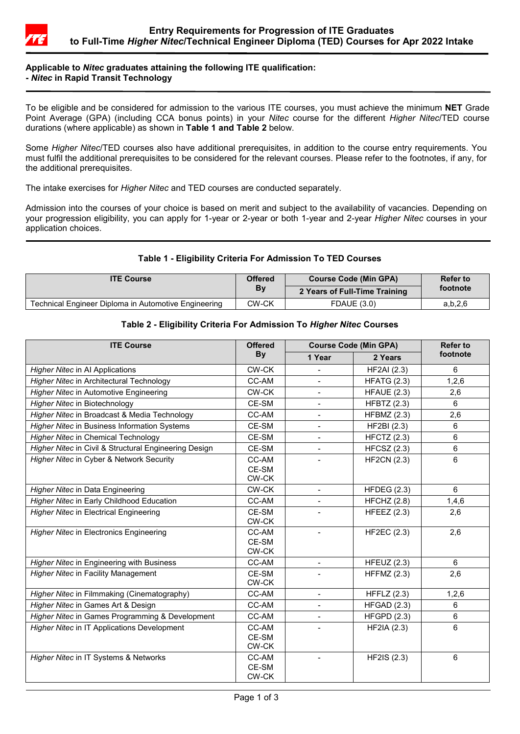

# **Applicable to** *Nitec* **graduates attaining the following ITE qualification: -** *Nitec* **in Rapid Transit Technology**

To be eligible and be considered for admission to the various ITE courses, you must achieve the minimum **NET** Grade Point Average (GPA) (including CCA bonus points) in your *Nitec* course for the different *Higher Nitec*/TED course durations (where applicable) as shown in **Table 1 and Table 2** below.

Some *Higher Nitec*/TED courses also have additional prerequisites, in addition to the course entry requirements. You must fulfil the additional prerequisites to be considered for the relevant courses. Please refer to the footnotes, if any, for the additional prerequisites.

The intake exercises for *Higher Nitec* and TED courses are conducted separately.

Admission into the courses of your choice is based on merit and subject to the availability of vacancies. Depending on your progression eligibility, you can apply for 1-year or 2-year or both 1-year and 2-year *Higher Nitec* courses in your application choices.

# **Table 1 - Eligibility Criteria For Admission To TED Courses**

| <b>ITE Course</b>                                    | <b>Offered</b> | <b>Course Code (Min GPA)</b>  | <b>Refer to</b> |  |
|------------------------------------------------------|----------------|-------------------------------|-----------------|--|
|                                                      | Bv             | 2 Years of Full-Time Training | footnote        |  |
| Technical Engineer Diploma in Automotive Engineering | CW-CK          | <b>FDAUE (3.0)</b>            | a, b, 2, 6      |  |

# **Table 2 - Eligibility Criteria For Admission To** *Higher Nitec* **Courses**

| <b>ITE Course</b>                                     | <b>Offered</b><br><b>By</b> | <b>Course Code (Min GPA)</b> |                    | <b>Refer to</b> |
|-------------------------------------------------------|-----------------------------|------------------------------|--------------------|-----------------|
|                                                       |                             | 1 Year                       | 2 Years            | footnote        |
| <b>Higher Nitec in Al Applications</b>                | CW-CK                       |                              | <b>HF2AI</b> (2.3) | 6               |
| Higher Nitec in Architectural Technology              | CC-AM                       | $\overline{\phantom{0}}$     | <b>HFATG (2.3)</b> | 1,2,6           |
| Higher Nitec in Automotive Engineering                | CW-CK                       |                              | <b>HFAUE (2.3)</b> | 2,6             |
| Higher Nitec in Biotechnology                         | CE-SM                       |                              | <b>HFBTZ (2.3)</b> | $6\phantom{a}$  |
| Higher Nitec in Broadcast & Media Technology          | CC-AM                       | $\overline{\phantom{a}}$     | <b>HFBMZ (2.3)</b> | 2,6             |
| <b>Higher Nitec in Business Information Systems</b>   | CE-SM                       | $\overline{a}$               | HF2BI (2.3)        | 6               |
| <b>Higher Nitec in Chemical Technology</b>            | CE-SM                       | $\blacksquare$               | <b>HFCTZ (2.3)</b> | 6               |
| Higher Nitec in Civil & Structural Engineering Design | CE-SM                       |                              | $HFCSZ$ (2.3)      | $6\phantom{a}$  |
| Higher Nitec in Cyber & Network Security              | CC-AM<br>CE-SM<br>CW-CK     |                              | <b>HF2CN (2.3)</b> | 6               |
| Higher Nitec in Data Engineering                      | CW-CK                       |                              | HFDEG $(2.3)$      | 6               |
| Higher Nitec in Early Childhood Education             | CC-AM                       |                              | HFCHZ (2.8)        | 1,4,6           |
| <b>Higher Nitec in Electrical Engineering</b>         | CE-SM<br>CW-CK              |                              | HFEEZ $(2.3)$      | 2,6             |
| <b>Higher Nitec in Electronics Engineering</b>        | CC-AM<br>CE-SM<br>CW-CK     |                              | <b>HF2EC (2.3)</b> | 2,6             |
| Higher Nitec in Engineering with Business             | CC-AM                       | $\overline{\phantom{a}}$     | HFEUZ $(2.3)$      | 6               |
| <b>Higher Nitec in Facility Management</b>            | CE-SM<br>CW-CK              |                              | HFFMZ $(2.3)$      | 2,6             |
| Higher Nitec in Filmmaking (Cinematography)           | CC-AM                       |                              | HFFLZ $(2.3)$      | 1,2,6           |
| Higher Nitec in Games Art & Design                    | CC-AM                       |                              | HFGAD (2.3)        | 6               |
| Higher Nitec in Games Programming & Development       | CC-AM                       |                              | <b>HFGPD (2.3)</b> | 6               |
| Higher Nitec in IT Applications Development           | CC-AM<br>CE-SM<br>CW-CK     |                              | <b>HF2IA (2.3)</b> | 6               |
| Higher Nitec in IT Systems & Networks                 | CC-AM<br>CE-SM<br>CW-CK     |                              | HF2IS (2.3)        | 6               |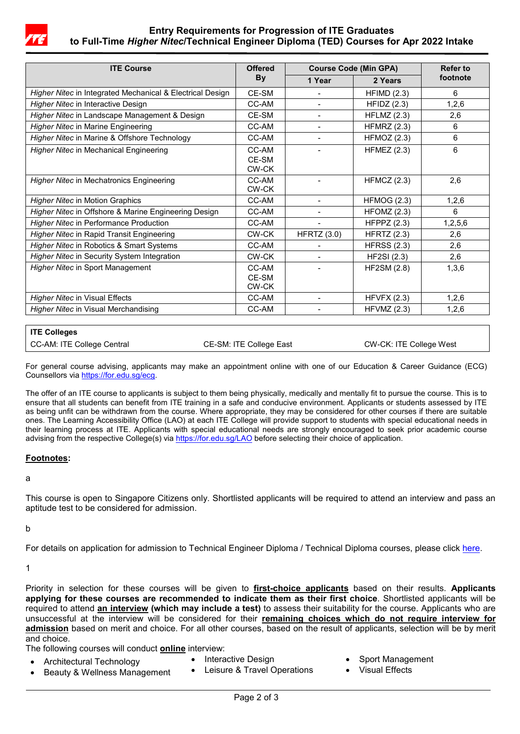

# **Entry Requirements for Progression of ITE Graduates to Full-Time** *Higher Nitec***/Technical Engineer Diploma (TED) Courses for Apr 2022 Intake**

| <b>ITE Course</b>                                         | <b>Offered</b><br>By | <b>Course Code (Min GPA)</b> |                    | Refer to |
|-----------------------------------------------------------|----------------------|------------------------------|--------------------|----------|
|                                                           |                      | 1 Year                       | 2 Years            | footnote |
| Higher Nitec in Integrated Mechanical & Electrical Design | CF-SM                |                              | HFIMD(2.3)         | 6        |
| Higher Nitec in Interactive Design                        | CC-AM                |                              | HFIDZ (2.3)        | 1,2,6    |
| Higher Nitec in Landscape Management & Design             | CE-SM                | $\overline{\phantom{0}}$     | HFLMZ $(2.3)$      | 2,6      |
| <b>Higher Nitec in Marine Engineering</b>                 | CC-AM                |                              | HFMRZ $(2.3)$      | 6        |
| Higher Nitec in Marine & Offshore Technology              | CC-AM                |                              | HFMOZ (2.3)        | 6        |
| Higher Nitec in Mechanical Engineering                    | CC-AM                |                              | HFMEZ $(2.3)$      | 6        |
|                                                           | CE-SM                |                              |                    |          |
|                                                           | CW-CK                |                              |                    |          |
| <b>Higher Nitec in Mechatronics Engineering</b>           | CC-AM                |                              | HFMCZ(2.3)         | 2,6      |
|                                                           | CW-CK                |                              |                    |          |
| <b>Higher Nitec in Motion Graphics</b>                    | CC-AM                |                              | HFMOG (2.3)        | 1,2,6    |
| Higher Nitec in Offshore & Marine Engineering Design      | CC-AM                |                              | HFOMZ (2.3)        | 6        |
| <b>Higher Nitec in Performance Production</b>             | CC-AM                |                              | HFPPZ $(2.3)$      | 1,2,5,6  |
| Higher Nitec in Rapid Transit Engineering                 | CW-CK                | <b>HFRTZ (3.0)</b>           | <b>HFRTZ (2.3)</b> | 2,6      |
| Higher Nitec in Robotics & Smart Systems                  | CC-AM                |                              | HFRSS $(2.3)$      | 2,6      |
| Higher Nitec in Security System Integration               | CW-CK                |                              | <b>HF2SI (2.3)</b> | 2,6      |
| <b>Higher Nitec in Sport Management</b>                   | CC-AM                |                              | HF2SM (2.8)        | 1,3,6    |
|                                                           | CF-SM                |                              |                    |          |
|                                                           | CW-CK                |                              |                    |          |
| <b>Higher Nitec in Visual Effects</b>                     | CC-AM                |                              | HFVFX(2.3)         | 1,2,6    |
| Higher Nitec in Visual Merchandising                      | CC-AM                |                              | HFVMZ $(2.3)$      | 1,2,6    |

# **ITE Colleges**

CC-AM: ITE College Central CE-SM: ITE College East CW-CK: ITE College West

For general course advising, applicants may make an appointment online with one of our Education & Career Guidance (ECG) Counsellors vi[a https://for.edu.sg/ecg.](https://for.edu.sg/ecg)

The offer of an ITE course to applicants is subject to them being physically, medically and mentally fit to pursue the course. This is to ensure that all students can benefit from ITE training in a safe and conducive environment. Applicants or students assessed by ITE as being unfit can be withdrawn from the course. Where appropriate, they may be considered for other courses if there are suitable ones. The Learning Accessibility Office (LAO) at each ITE College will provide support to students with special educational needs in their learning process at ITE. Applicants with special educational needs are strongly encouraged to seek prior academic course advising from the respective College(s) vi[a https://for.edu.sg/LAO](https://for.edu.sg/LAO) before selecting their choice of application.

### **Footnotes:**

a

This course is open to Singapore Citizens only. Shortlisted applicants will be required to attend an interview and pass an aptitude test to be considered for admission.

b

For details on application for admission to Technical Engineer Diploma / Technical Diploma courses, please click [here.](https://www.ite.edu.sg/admissions/full-time-courses/technical-diploma/application-for-technical-diploma)

1

Priority in selection for these courses will be given to **first-choice applicants** based on their results. **Applicants applying for these courses are recommended to indicate them as their first choice**. Shortlisted applicants will be required to attend **an interview (which may include a test)** to assess their suitability for the course. Applicants who are unsuccessful at the interview will be considered for their **remaining choices which do not require interview for admission** based on merit and choice. For all other courses, based on the result of applicants, selection will be by merit and choice.

The following courses will conduct **online** interview:

- Architectural Technology
- Interactive Design
- Sport Management
- Beauty & Wellness Management
- Leisure & Travel Operations
- **Visual Effects**
- Page 2 of 3